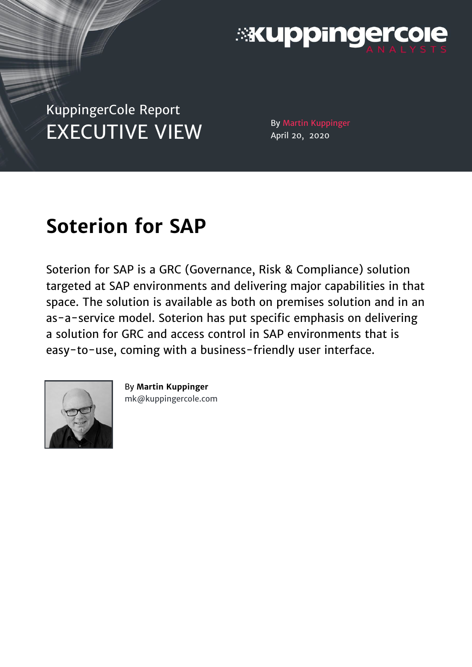

# KuppingerCole Report EXECUTIVE VIEW By Martin Kuppinger

April 20, 2020

# **Soterion for SAP**

Soterion for SAP is a GRC (Governance, Risk & Compliance) solution targeted at SAP environments and delivering major capabilities in that space. The solution is available as both on premises solution and in an as-a-service model. Soterion has put specific emphasis on delivering a solution for GRC and access control in SAP environments that is easy-to-use, coming with a business-friendly user interface.



By **Martin Kuppinger** [mk@kuppingercole.com](mailto:mk@kuppingercole.com)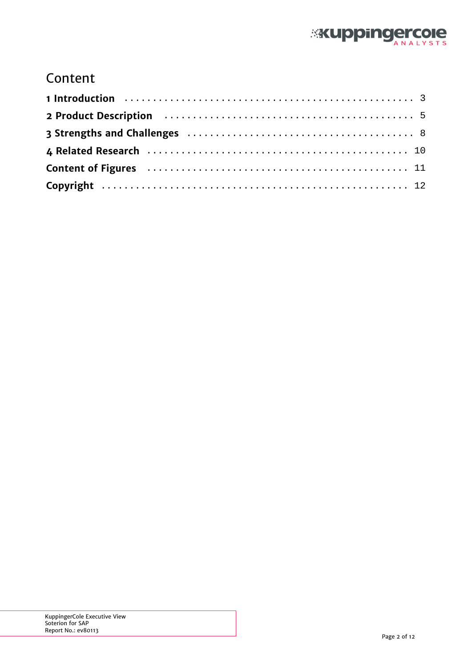

### Content

| 2 Product Description (all contains and the set of the contact of the contact of the Product Description                                                                                                                       |  |
|--------------------------------------------------------------------------------------------------------------------------------------------------------------------------------------------------------------------------------|--|
|                                                                                                                                                                                                                                |  |
|                                                                                                                                                                                                                                |  |
| Content of Figures (all contents of the content of Figures (all contents of the content of the content of the content of the content of the content of the content of the content of the content of the content of the content |  |
|                                                                                                                                                                                                                                |  |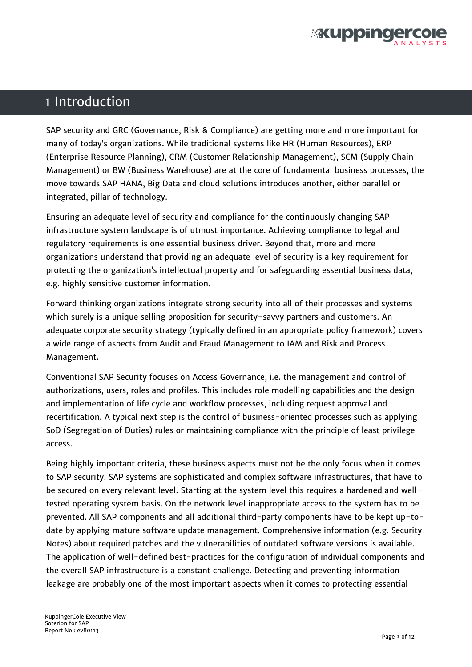

### <span id="page-2-0"></span>1 Introduction

SAP security and GRC (Governance, Risk & Compliance) are getting more and more important for many of today's organizations. While traditional systems like HR (Human Resources), ERP (Enterprise Resource Planning), CRM (Customer Relationship Management), SCM (Supply Chain Management) or BW (Business Warehouse) are at the core of fundamental business processes, the move towards SAP HANA, Big Data and cloud solutions introduces another, either parallel or integrated, pillar of technology.

Ensuring an adequate level of security and compliance for the continuously changing SAP infrastructure system landscape is of utmost importance. Achieving compliance to legal and regulatory requirements is one essential business driver. Beyond that, more and more organizations understand that providing an adequate level of security is a key requirement for protecting the organization's intellectual property and for safeguarding essential business data, e.g. highly sensitive customer information.

Forward thinking organizations integrate strong security into all of their processes and systems which surely is a unique selling proposition for security-savvy partners and customers. An adequate corporate security strategy (typically defined in an appropriate policy framework) covers a wide range of aspects from Audit and Fraud Management to IAM and Risk and Process Management.

Conventional SAP Security focuses on Access Governance, i.e. the management and control of authorizations, users, roles and profiles. This includes role modelling capabilities and the design and implementation of life cycle and workflow processes, including request approval and recertification. A typical next step is the control of business-oriented processes such as applying SoD (Segregation of Duties) rules or maintaining compliance with the principle of least privilege access.

Being highly important criteria, these business aspects must not be the only focus when it comes to SAP security. SAP systems are sophisticated and complex software infrastructures, that have to be secured on every relevant level. Starting at the system level this requires a hardened and welltested operating system basis. On the network level inappropriate access to the system has to be prevented. All SAP components and all additional third-party components have to be kept up-todate by applying mature software update management. Comprehensive information (e.g. Security Notes) about required patches and the vulnerabilities of outdated software versions is available. The application of well-defined best-practices for the configuration of individual components and the overall SAP infrastructure is a constant challenge. Detecting and preventing information leakage are probably one of the most important aspects when it comes to protecting essential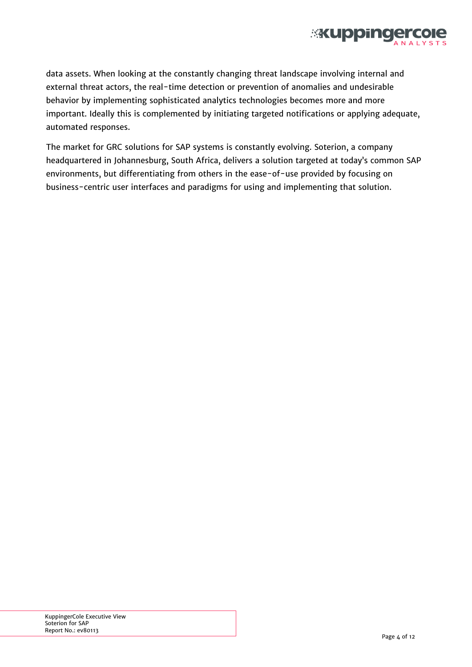

data assets. When looking at the constantly changing threat landscape involving internal and external threat actors, the real-time detection or prevention of anomalies and undesirable behavior by implementing sophisticated analytics technologies becomes more and more important. Ideally this is complemented by initiating targeted notifications or applying adequate, automated responses.

The market for GRC solutions for SAP systems is constantly evolving. Soterion, a company headquartered in Johannesburg, South Africa, delivers a solution targeted at today's common SAP environments, but differentiating from others in the ease-of-use provided by focusing on business-centric user interfaces and paradigms for using and implementing that solution.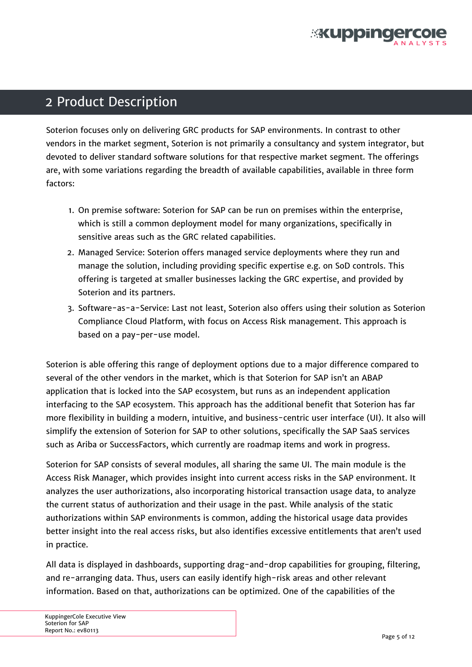

## <span id="page-4-0"></span>2 Product Description

Soterion focuses only on delivering GRC products for SAP environments. In contrast to other vendors in the market segment, Soterion is not primarily a consultancy and system integrator, but devoted to deliver standard software solutions for that respective market segment. The offerings are, with some variations regarding the breadth of available capabilities, available in three form factors:

- 1. On premise software: Soterion for SAP can be run on premises within the enterprise, which is still a common deployment model for many organizations, specifically in sensitive areas such as the GRC related capabilities.
- 2. Managed Service: Soterion offers managed service deployments where they run and manage the solution, including providing specific expertise e.g. on SoD controls. This offering is targeted at smaller businesses lacking the GRC expertise, and provided by Soterion and its partners.
- 3. Software-as-a-Service: Last not least, Soterion also offers using their solution as Soterion Compliance Cloud Platform, with focus on Access Risk management. This approach is based on a pay-per-use model.

Soterion is able offering this range of deployment options due to a major difference compared to several of the other vendors in the market, which is that Soterion for SAP isn't an ABAP application that is locked into the SAP ecosystem, but runs as an independent application interfacing to the SAP ecosystem. This approach has the additional benefit that Soterion has far more flexibility in building a modern, intuitive, and business-centric user interface (UI). It also will simplify the extension of Soterion for SAP to other solutions, specifically the SAP SaaS services such as Ariba or SuccessFactors, which currently are roadmap items and work in progress.

Soterion for SAP consists of several modules, all sharing the same UI. The main module is the Access Risk Manager, which provides insight into current access risks in the SAP environment. It analyzes the user authorizations, also incorporating historical transaction usage data, to analyze the current status of authorization and their usage in the past. While analysis of the static authorizations within SAP environments is common, adding the historical usage data provides better insight into the real access risks, but also identifies excessive entitlements that aren't used in practice.

All data is displayed in dashboards, supporting drag-and-drop capabilities for grouping, filtering, and re-arranging data. Thus, users can easily identify high-risk areas and other relevant information. Based on that, authorizations can be optimized. One of the capabilities of the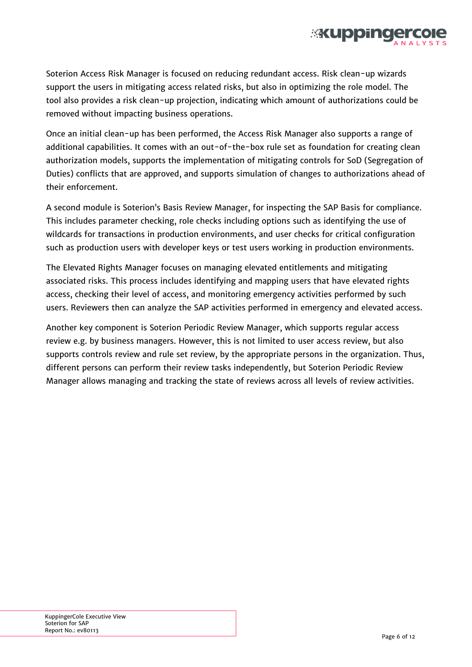

Soterion Access Risk Manager is focused on reducing redundant access. Risk clean-up wizards support the users in mitigating access related risks, but also in optimizing the role model. The tool also provides a risk clean-up projection, indicating which amount of authorizations could be removed without impacting business operations.

Once an initial clean-up has been performed, the Access Risk Manager also supports a range of additional capabilities. It comes with an out-of-the-box rule set as foundation for creating clean authorization models, supports the implementation of mitigating controls for SoD (Segregation of Duties) conflicts that are approved, and supports simulation of changes to authorizations ahead of their enforcement.

A second module is Soterion's Basis Review Manager, for inspecting the SAP Basis for compliance. This includes parameter checking, role checks including options such as identifying the use of wildcards for transactions in production environments, and user checks for critical configuration such as production users with developer keys or test users working in production environments.

The Elevated Rights Manager focuses on managing elevated entitlements and mitigating associated risks. This process includes identifying and mapping users that have elevated rights access, checking their level of access, and monitoring emergency activities performed by such users. Reviewers then can analyze the SAP activities performed in emergency and elevated access.

Another key component is Soterion Periodic Review Manager, which supports regular access review e.g. by business managers. However, this is not limited to user access review, but also supports controls review and rule set review, by the appropriate persons in the organization. Thus, different persons can perform their review tasks independently, but Soterion Periodic Review Manager allows managing and tracking the state of reviews across all levels of review activities.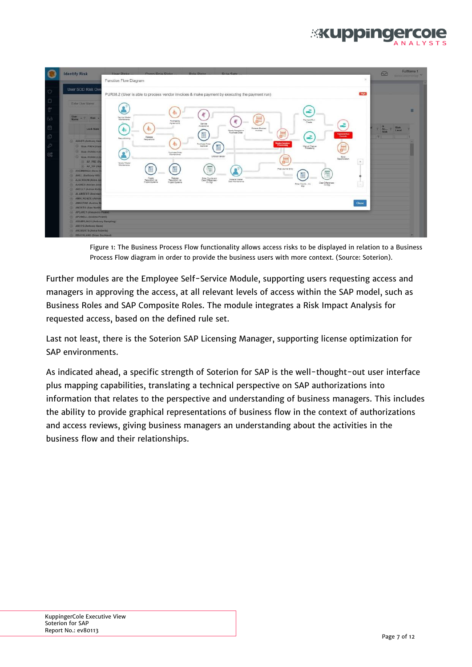

<span id="page-6-0"></span>

| L                                 | <b>Identify Risk</b>                                                                                                                                                                                                                                                                                                                                                                   | How Bloke<br>Como Dola Dicke<br>Dola Dicks<br><b>Drile Cote</b><br>$\frac{1}{2}$<br>Function Flow Diagram                                                                                                                                                                                                                                                                                                                                                                                                                                                                                                                                                                                                                                                                                                       | FullName <sub>1</sub><br>$\Omega$<br><b>Detroit Distances (Dist. 20)</b>                                  |
|-----------------------------------|----------------------------------------------------------------------------------------------------------------------------------------------------------------------------------------------------------------------------------------------------------------------------------------------------------------------------------------------------------------------------------------|-----------------------------------------------------------------------------------------------------------------------------------------------------------------------------------------------------------------------------------------------------------------------------------------------------------------------------------------------------------------------------------------------------------------------------------------------------------------------------------------------------------------------------------------------------------------------------------------------------------------------------------------------------------------------------------------------------------------------------------------------------------------------------------------------------------------|-----------------------------------------------------------------------------------------------------------|
| O                                 | User SOD Risk Ove                                                                                                                                                                                                                                                                                                                                                                      | High.<br>PUR08.2 (User is able to process vendor invoices & make payment by executing the payment run)                                                                                                                                                                                                                                                                                                                                                                                                                                                                                                                                                                                                                                                                                                          |                                                                                                           |
| Ò<br>宜<br>63<br>尚<br>O<br>D<br>8Ē | Enler User Name<br><b>User</b><br><b>Risa</b><br>$-92$<br><b>Lock State</b><br>(a) AHART (Anthony Har<br><b>B Risk: FIN34 IUSA</b><br><b>C RINK PURDET (I</b><br><b>B</b> Reak PUROL2 (I<br><b>AP PRE IPA</b><br>AP VIP (Val<br><b>AREMMNOS (Anne)</b><br><b>CO AHILL (Anthony Hill)</b><br><b>CO AJACKSON (Anne Ja</b>                                                                | 記<br>都<br>Sanice Master<br>lerri<br>Payment Run<br>O'esta<br>e <sup>m</sup><br>規<br>Purchasing<br>Agreements<br>Service<br>æ<br>Acoabtence<br>春<br><b>Release Slocked</b><br>Occob Receipts to:<br>Purchase Order<br>Hydras<br>F<br>E<br><b>Tayment Stars</b><br>Taxonistic<br>æ<br>Release<br>Requisitioning<br>Regulations<br><b>Version Immers</b><br>Processing<br>Purchase Order<br>Approval<br>布<br>冒<br>E<br>Manual Cheque<br>Punthese Order<br>Marrierance<br><b>Unbisck Vendor</b><br>East<br>Reconcilation<br><b>TEST</b><br>$\begin{array}{c} \star \\ \hline \end{array}$<br>白<br>Verdor Master<br>Maintenance<br>E<br>証<br>Post Journal Erey<br>看<br><b>DO</b><br>Ralesse<br>Creste<br>Plequialiton via<br>Project Systems<br>Emar Counts and<br>Crear Differences -<br>He Migi<br>Requisition via | $\equiv$<br>$\label{eq:11} \gamma = \frac{2\pi}{\hbar\omega_{\rm max}} - \gamma.$<br><b>Risk</b><br>Level |
|                                   | (4) AJONES (Adrian Jos<br><b>CO. AKELLY (Attrian Kelly</b><br><b>ED ALAMBERT (Andrew</b><br><b>CO AMACKENZIE LAdrian</b><br><b>CO AMARTINI LAndrea M</b><br><b>ANORTH LAten North</b><br>APEAKET (Alexandra Peake)<br><b>APOWELL (Andrea Powell)</b><br><b>E ARAMPLING1 (Anthony Rampling)</b><br>AREES (Anthony Rees)<br>ARCBERTS (Anna Roberts)<br><b>BBUCKLAND (Brian Buckland)</b> | Material Master<br>Data Mamteriance<br>Ġ<br>Project Systems<br>Cast Differences<br>Enter Counts - Im<br>Close                                                                                                                                                                                                                                                                                                                                                                                                                                                                                                                                                                                                                                                                                                   |                                                                                                           |

Figure 1: The Business Process Flow functionality allows access risks to be displayed in relation to a Business Process Flow diagram in order to provide the business users with more context. (Source: Soterion).

Further modules are the Employee Self-Service Module, supporting users requesting access and managers in approving the access, at all relevant levels of access within the SAP model, such as Business Roles and SAP Composite Roles. The module integrates a Risk Impact Analysis for requested access, based on the defined rule set.

Last not least, there is the Soterion SAP Licensing Manager, supporting license optimization for SAP environments.

As indicated ahead, a specific strength of Soterion for SAP is the well-thought-out user interface plus mapping capabilities, translating a technical perspective on SAP authorizations into information that relates to the perspective and understanding of business managers. This includes the ability to provide graphical representations of business flow in the context of authorizations and access reviews, giving business managers an understanding about the activities in the business flow and their relationships.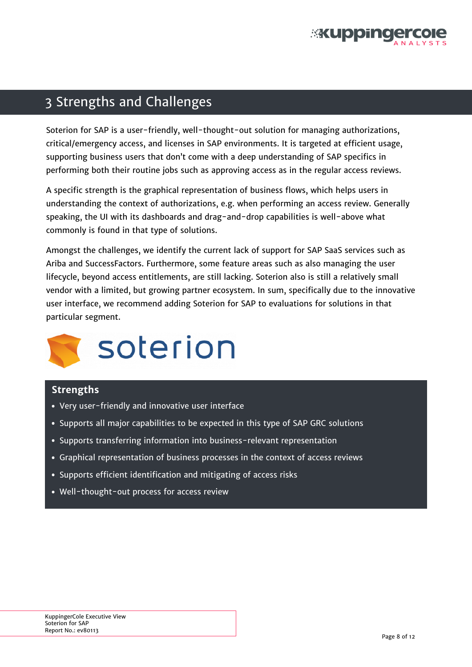

### <span id="page-7-0"></span>3 Strengths and Challenges

Soterion for SAP is a user-friendly, well-thought-out solution for managing authorizations, critical/emergency access, and licenses in SAP environments. It is targeted at efficient usage, supporting business users that don't come with a deep understanding of SAP specifics in performing both their routine jobs such as approving access as in the regular access reviews.

A specific strength is the graphical representation of business flows, which helps users in understanding the context of authorizations, e.g. when performing an access review. Generally speaking, the UI with its dashboards and drag-and-drop capabilities is well-above what commonly is found in that type of solutions.

Amongst the challenges, we identify the current lack of support for SAP SaaS services such as Ariba and SuccessFactors. Furthermore, some feature areas such as also managing the user lifecycle, beyond access entitlements, are still lacking. Soterion also is still a relatively small vendor with a limited, but growing partner ecosystem. In sum, specifically due to the innovative user interface, we recommend adding Soterion for SAP to evaluations for solutions in that particular segment.



#### **Strengths**

- Very user-friendly and innovative user interface
- Supports all major capabilities to be expected in this type of SAP GRC solutions
- Supports transferring information into business-relevant representation
- Graphical representation of business processes in the context of access reviews
- Supports efficient identification and mitigating of access risks
- Well-thought-out process for access review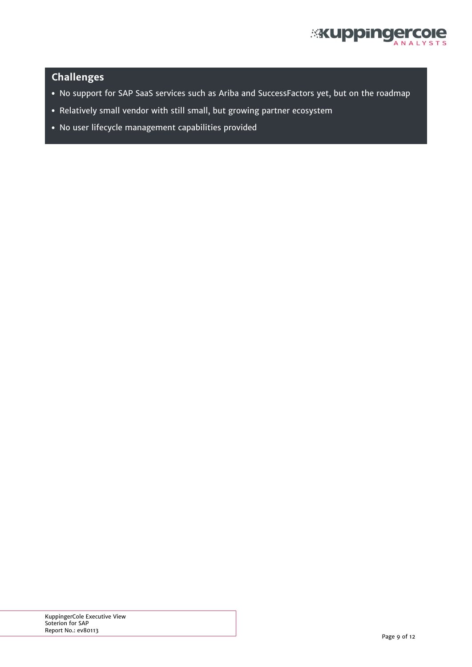

### **Challenges**

- No support for SAP SaaS services such as Ariba and SuccessFactors yet, but on the roadmap
- Relatively small vendor with still small, but growing partner ecosystem
- No user lifecycle management capabilities provided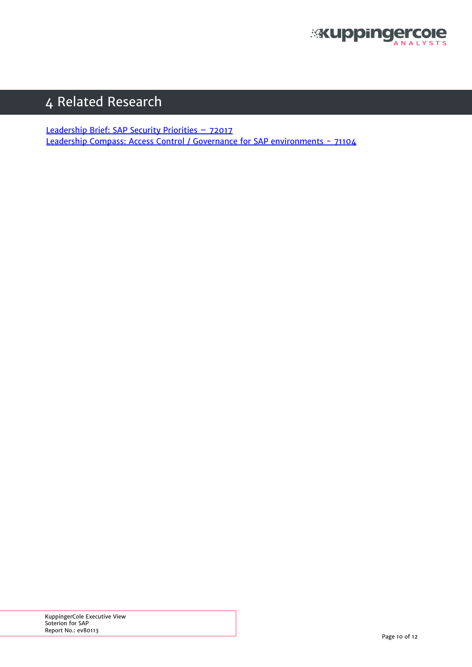

# <span id="page-9-0"></span>4 Related Research

[Leadership Brief: SAP Security Priorities – 72017](https://www.kuppingercole.com/report/leadbrief_sap_security_priorities-_7201707082015) [Leadership Compass: Access Control / Governance for SAP environments - 71104](https://www.kuppingercole.com/report/leadershipcompass_sapgrc_7110413715)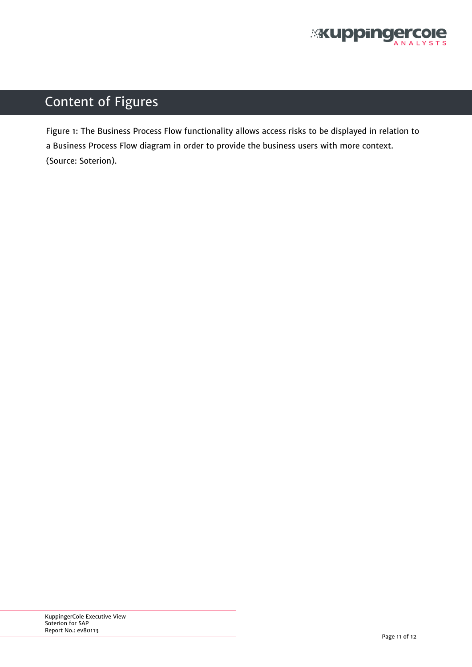

# <span id="page-10-0"></span>Content of Figures

[Figure 1: The Business Process Flow functionality allows access risks to be displayed in relation to](#page-6-0) [a Business Process Flow diagram in order to provide the business users with more context.](#page-6-0) [\(Source: Soterion\).](#page-6-0)